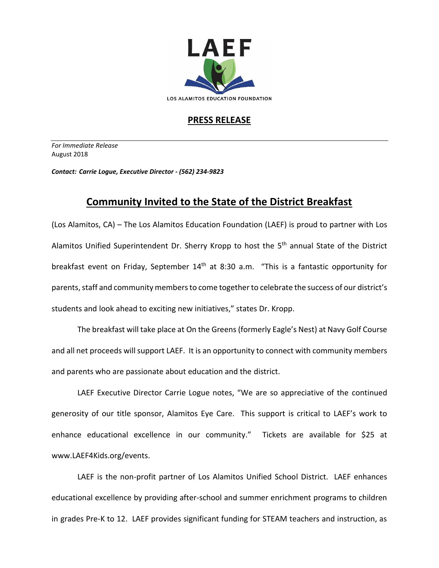

## **PRESS RELEASE**

*For Immediate Release*  August 2018

*Contact: Carrie Logue, Executive Director - (562) 234-9823*

## **Community Invited to the State of the District Breakfast**

(Los Alamitos, CA) – The Los Alamitos Education Foundation (LAEF) is proud to partner with Los Alamitos Unified Superintendent Dr. Sherry Kropp to host the 5<sup>th</sup> annual State of the District breakfast event on Friday, September  $14<sup>th</sup>$  at 8:30 a.m. "This is a fantastic opportunity for parents, staff and community members to come together to celebrate the success of our district's students and look ahead to exciting new initiatives," states Dr. Kropp.

The breakfast will take place at On the Greens (formerly Eagle's Nest) at Navy Golf Course and all net proceeds will support LAEF. It is an opportunity to connect with community members and parents who are passionate about education and the district.

LAEF Executive Director Carrie Logue notes, "We are so appreciative of the continued generosity of our title sponsor, Alamitos Eye Care. This support is critical to LAEF's work to enhance educational excellence in our community." Tickets are available for \$25 at www.LAEF4Kids.org/events.

LAEF is the non-profit partner of Los Alamitos Unified School District. LAEF enhances educational excellence by providing after-school and summer enrichment programs to children in grades Pre-K to 12. LAEF provides significant funding for STEAM teachers and instruction, as